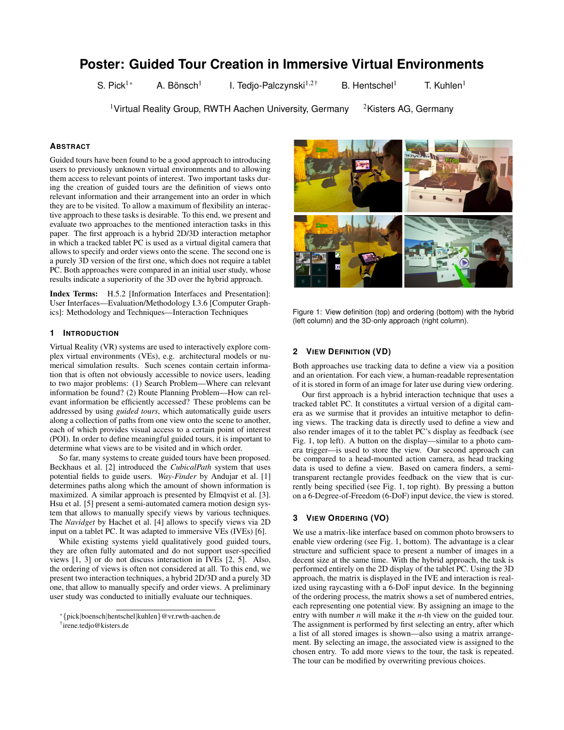# **Poster: Guided Tour Creation in Immersive Virtual Environments**

S. Pick<sup>1\*</sup> A. Bönsch<sup>1</sup>

I. Tedjo-Palczynski $1,2^+$  B. Hentschel<sup>1</sup> T. Kuhlen<sup>1</sup>

<sup>1</sup> Virtual Reality Group, RWTH Aachen University, Germany  $\frac{2K}{100}$  2Kisters AG, Germany

## **ABSTRACT**

Guided tours have been found to be a good approach to introducing users to previously unknown virtual environments and to allowing them access to relevant points of interest. Two important tasks during the creation of guided tours are the definition of views onto relevant information and their arrangement into an order in which they are to be visited. To allow a maximum of flexibility an interactive approach to these tasks is desirable. To this end, we present and evaluate two approaches to the mentioned interaction tasks in this paper. The first approach is a hybrid 2D/3D interaction metaphor in which a tracked tablet PC is used as a virtual digital camera that allows to specify and order views onto the scene. The second one is a purely 3D version of the first one, which does not require a tablet PC. Both approaches were compared in an initial user study, whose results indicate a superiority of the 3D over the hybrid approach.

Index Terms: H.5.2 [Information Interfaces and Presentation]: User Interfaces—Evaluation/Methodology I.3.6 [Computer Graphics]: Methodology and Techniques—Interaction Techniques

## **1 INTRODUCTION**

Virtual Reality (VR) systems are used to interactively explore complex virtual environments (VEs), e.g. architectural models or numerical simulation results. Such scenes contain certain information that is often not obviously accessible to novice users, leading to two major problems: (1) Search Problem—Where can relevant information be found? (2) Route Planning Problem—How can relevant information be efficiently accessed? These problems can be addressed by using *guided tours*, which automatically guide users along a collection of paths from one view onto the scene to another, each of which provides visual access to a certain point of interest (POI). In order to define meaningful guided tours, it is important to determine what views are to be visited and in which order.

So far, many systems to create guided tours have been proposed. Beckhaus et al. [2] introduced the *CubicalPath* system that uses potential fields to guide users. *Way-Finder* by Andujar et al. [1] determines paths along which the amount of shown information is maximized. A similar approach is presented by Elmqvist et al. [3]. Hsu et al. [5] present a semi-automated camera motion design system that allows to manually specify views by various techniques. The *Navidget* by Hachet et al. [4] allows to specify views via 2D input on a tablet PC. It was adapted to immersive VEs (IVEs) [6].

While existing systems yield qualitatively good guided tours, they are often fully automated and do not support user-specified views [1, 3] or do not discuss interaction in IVEs [2, 5]. Also, the ordering of views is often not considered at all. To this end, we present two interaction techniques, a hybrid 2D/3D and a purely 3D one, that allow to manually specify and order views. A preliminary user study was conducted to initially evaluate our techniques.

† irene.tedjo@kisters.de



Figure 1: View definition (top) and ordering (bottom) with the hybrid (left column) and the 3D-only approach (right column).

#### **2 VIEW DEFINITION (VD)**

Both approaches use tracking data to define a view via a position and an orientation. For each view, a human-readable representation of it is stored in form of an image for later use during view ordering.

Our first approach is a hybrid interaction technique that uses a tracked tablet PC. It constitutes a virtual version of a digital camera as we surmise that it provides an intuitive metaphor to defining views. The tracking data is directly used to define a view and also render images of it to the tablet PC's display as feedback (see Fig. 1, top left). A button on the display—similar to a photo camera trigger—is used to store the view. Our second approach can be compared to a head-mounted action camera, as head tracking data is used to define a view. Based on camera finders, a semitransparent rectangle provides feedback on the view that is currently being specified (see Fig. 1, top right). By pressing a button on a 6-Degree-of-Freedom (6-DoF) input device, the view is stored.

## **3 VIEW ORDERING (VO)**

We use a matrix-like interface based on common photo browsers to enable view ordering (see Fig. 1, bottom). The advantage is a clear structure and sufficient space to present a number of images in a decent size at the same time. With the hybrid approach, the task is performed entirely on the 2D display of the tablet PC. Using the 3D approach, the matrix is displayed in the IVE and interaction is realized using raycasting with a 6-DoF input device. In the beginning of the ordering process, the matrix shows a set of numbered entries, each representing one potential view. By assigning an image to the entry with number *n* will make it the *n*-th view on the guided tour. The assignment is performed by first selecting an entry, after which a list of all stored images is shown—also using a matrix arrangement. By selecting an image, the associated view is assigned to the chosen entry. To add more views to the tour, the task is repeated. The tour can be modified by overwriting previous choices.

<sup>∗</sup>{pick|boensch|hentschel|kuhlen}@vr.rwth-aachen.de